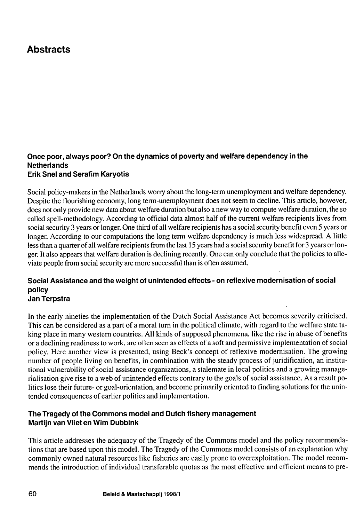# **Abstracts**

#### **Once poor, always poor? On the dynamics of poverty and welfare dependency in the Netherlands Erik Snel and Serafim Karyotis**

Social policy-makers in the Netherlands worry about the long-term unemployment and welfare dependency. Despite the flourishing economy, long term-unemployment does not seem to decline. This article, however, does not only provide new data about welfare duration but also a new way to compute welfare duration, the so called spell-methodology. According to official data almost half of the current welfare recipients lives from social security 3 years or longer. One third of all welfare recipients has a social security benefit even 5 years or longer. According to our computations the long term welfare dependency is much less widespread. A little less than a quarter of all welfare recipients from the last 15 years had a social security benefit for 3 years or longer. It also appears that welfare duration is declining recently. One can only conclude that the policies to alleviate people from social security are more successful than is often assumed.

## **Social Assistance and the weight of unintended effects - on reflexive modernisation of social policy**

### **JanTerpstra**

In the early nineties the implementation of the Dutch Social Assistance Act becomes severily criticised. This can be considered as a part of a moral turn in the political climate, with regard to the welfare state taking place in many western countries. All kinds of supposed phenomena, like the rise in abuse of benefits or a declining readiness to work, are often seen as effects of a soft and permissive implementation of social policy. Here another view is presented, using Beck's concept of reflexive modernisation. The growing number of people living on benefits, in combination with the steady process of juridification, an institutional vulnerability of social assistance organizations, a stalemate in local politics and a growing managerialisation give rise to a web of unintended effects contrary to the goals of social assistance. As a result politics lose their future- or goal-orientation, and become primarily oriented to finding solutions for the unintended consequences of earlier politics and implementation.

### **The Tragedy of the Commons model and Dutch fishery management Martijn van Vliet en Wim Dubbink**

This article addresses the adequacy of the Tragedy of the Commons model and the policy recommendations that are based upon this model. The Tragedy of the Commons model consists of an explanation why commonly owned natural resources like fisheries are easily prone to overexploitation. The model recommends the introduction of individual transferable quotas as the most effective and efficient means to pre